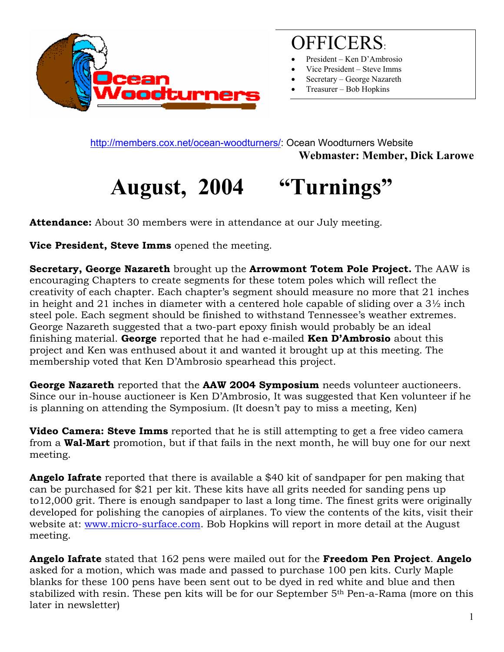

### OFFICERS:

- President Ken D'Ambrosio
- Vice President Steve Imms
- Secretary George Nazareth
- Treasurer Bob Hopkins

<http://members.cox.net/ocean-woodturners/>: Ocean Woodturners Website **Webmaster: Member, Dick Larowe** 

# **August, 2004 "Turnings"**

**Attendance:** About 30 members were in attendance at our July meeting.

**Vice President, Steve Imms** opened the meeting.

**Secretary, George Nazareth** brought up the **Arrowmont Totem Pole Project.** The AAW is encouraging Chapters to create segments for these totem poles which will reflect the creativity of each chapter. Each chapter's segment should measure no more that 21 inches in height and 21 inches in diameter with a centered hole capable of sliding over a 3½ inch steel pole. Each segment should be finished to withstand Tennessee's weather extremes. George Nazareth suggested that a two-part epoxy finish would probably be an ideal finishing material. **George** reported that he had e-mailed **Ken D'Ambrosio** about this project and Ken was enthused about it and wanted it brought up at this meeting. The membership voted that Ken D'Ambrosio spearhead this project.

**George Nazareth** reported that the **AAW 2004 Symposium** needs volunteer auctioneers. Since our in-house auctioneer is Ken D'Ambrosio, It was suggested that Ken volunteer if he is planning on attending the Symposium. (It doesn't pay to miss a meeting, Ken)

**Video Camera: Steve Imms** reported that he is still attempting to get a free video camera from a **Wal-Mart** promotion, but if that fails in the next month, he will buy one for our next meeting.

**Angelo Iafrate** reported that there is available a \$40 kit of sandpaper for pen making that can be purchased for \$21 per kit. These kits have all grits needed for sanding pens up to12,000 grit. There is enough sandpaper to last a long time. The finest grits were originally developed for polishing the canopies of airplanes. To view the contents of the kits, visit their website at: [www.micro-surface.com.](http://www.micro-surface.com/) Bob Hopkins will report in more detail at the August meeting.

**Angelo Iafrate** stated that 162 pens were mailed out for the **Freedom Pen Project**. **Angelo**  asked for a motion, which was made and passed to purchase 100 pen kits. Curly Maple blanks for these 100 pens have been sent out to be dyed in red white and blue and then stabilized with resin. These pen kits will be for our September 5th Pen-a-Rama (more on this later in newsletter)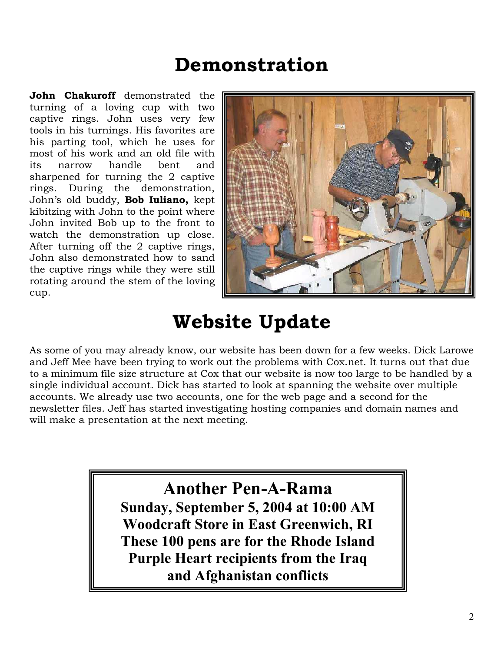### **Demonstration**

rotating around the stem of the loving cup. **John Chakuroff** demonstrated the turning of a loving cup with two captive rings. John uses very few tools in his turnings. His favorites are his parting tool, which he uses for most of his work and an old file with its narrow handle bent and sharpened for turning the 2 captive rings. During the demonstration, John's old buddy, **Bob Iuliano,** kept kibitzing with John to the point where John invited Bob up to the front to watch the demonstration up close. After turning off the 2 captive rings, John also demonstrated how to sand the captive rings while they were still



### **Website Update**

to a minimum file size structure at Cox that our website is now too large to be handled by a single individual account. Dick has started to look at spanning the website over multiple newsletter files. Jeff has started investigating hosting companies and domain names and will make a presentation at the next meeting. As some of you may already know, our website has been down for a few weeks. Dick Larowe and Jeff Mee have been trying to work out the problems with Cox.net. It turns out that due accounts. We already use two accounts, one for the web page and a second for the

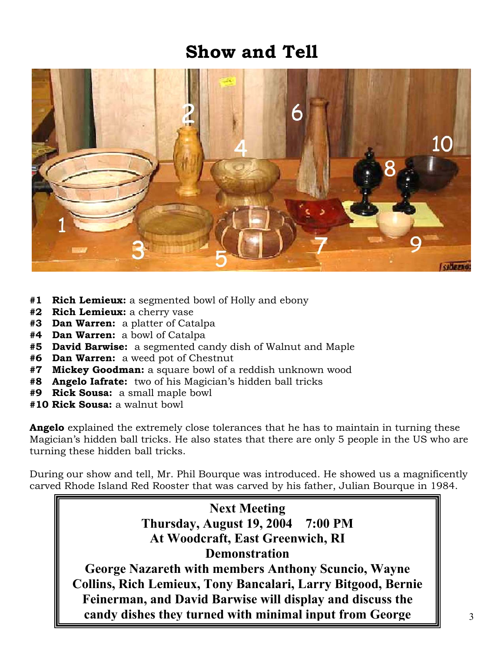#### **Show and Tell**



- **#1 Rich Lemieux:** a segmented bowl of Holly and ebony
- **#2 Rich Lemieux:** a cherry vase
- **#3 Dan Warren:** a platter of Catalpa
- **#4 Dan Warren:** a bowl of Catalpa
- **#5 David Barwise:** a segmented candy dish of Walnut and Maple
- **#6 Dan Warren:** a weed pot of Chestnut
- **#7 Mickey Goodman:** a square bowl of a reddish unknown wood
- **#8 Angelo Iafrate:** two of his Magician's hidden ball tricks
- **#9 Rick Sousa:** a small maple bowl
- **#10 Rick Sousa:** a walnut bowl

**Angelo** explained the extremely close tolerances that he has to maintain in turning these Magician's hidden ball tricks. He also states that there are only 5 people in the US who are turning these hidden ball tricks.

During our show and tell, Mr. Phil Bourque was introduced. He showed us a magnificently carved Rhode Island Red Rooster that was carved by his father, Julian Bourque in 1984.

#### **Next Meeting Thursday, August 19, 2004 7:00 PM At Woodcraft, East Greenwich, RI Demonstration**

**George Nazareth with members Anthony Scuncio, Wayne Collins, Rich Lemieux, Tony Bancalari, Larry Bitgood, Bernie Feinerman, and David Barwise will display and discuss the candy dishes they turned with minimal input from George**